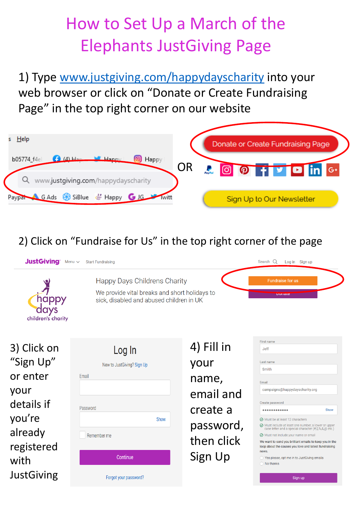## How to Set Up a March of the Elephants JustGiving Page

1) Type [www.justgiving.com/happydayscharity](http://www.justgiving.com/happydayscharity) into your web browser or click on "Donate or Create Fundraising Page" in the top right corner on our website



2) Click on "Fundraise for Us" in the top right corner of the page

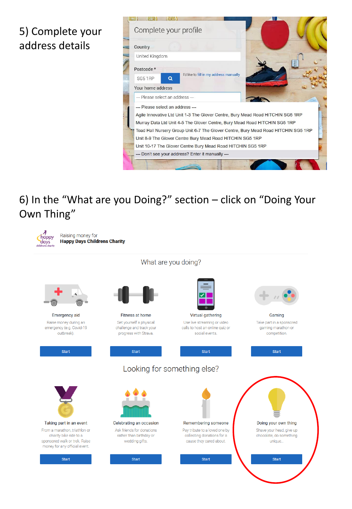## 5) Complete your address details



6) In the "What are you Doing?" section – click on "Doing Your Own Thing"

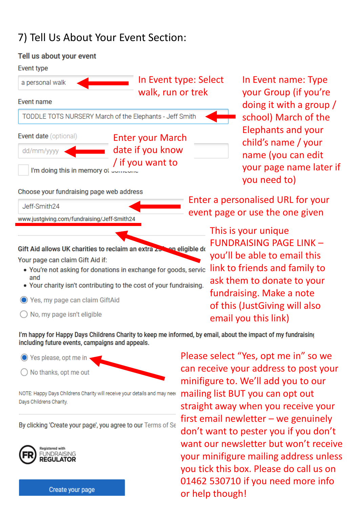## 7) Tell Us About Your Event Section:



In Event name: Type your Group (if you're doing it with a group / school) March of the Elephants and your child's name / your name (you can edit your page name later if you need to)

Enter a personalised URL for your event page or use the one given

> This is your unique FUNDRAISING PAGE LINK – you'll be able to email this link to friends and family to ask them to donate to your fundraising. Make a note of this (JustGiving will also email you this link)

I'm happy for Happy Days Childrens Charity to keep me informed, by email, about the impact of my fundraising including future events, campaigns and appeals.

◯ Yes please, opt me in  $\bigcirc$  No thanks, opt me out

NOTE: Happy Days Childrens Charity will receive your details and may need Days Childrens Charity.

By clicking 'Create your page', you agree to our Terms of Se



Create your page

Please select "Yes, opt me in" so we can receive your address to post your minifigure to. We'll add you to our mailing list BUT you can opt out straight away when you receive your first email newletter – we genuinely don't want to pester you if you don't want our newsletter but won't receive your minifigure mailing address unless you tick this box. Please do call us on 01462 530710 if you need more info or help though!